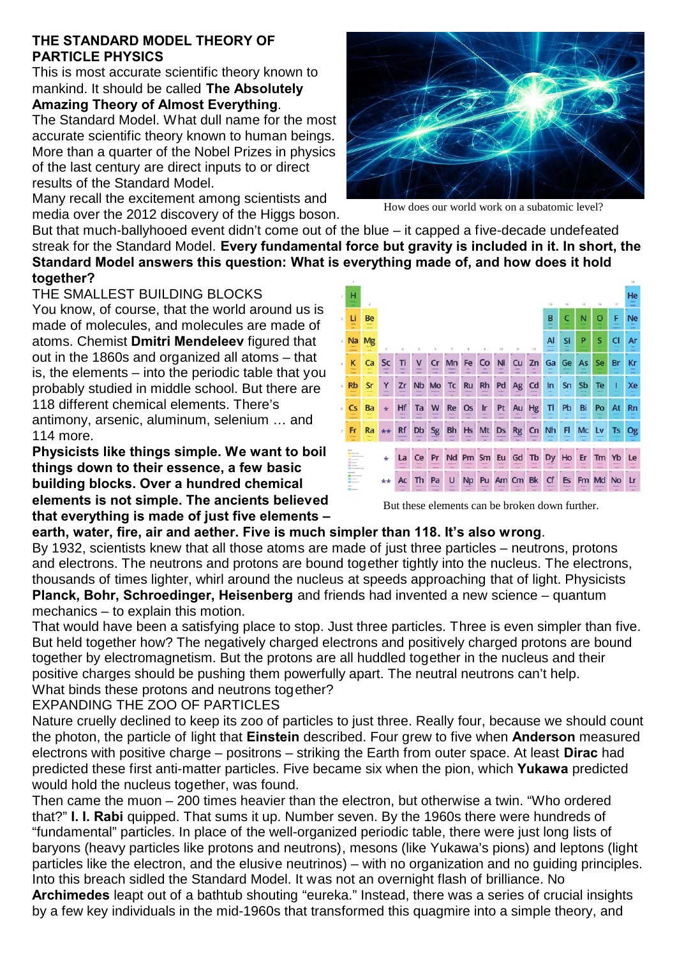#### **THE STANDARD MODEL THEORY OF PARTICLE PHYSICS**

This is most accurate scientific theory known to mankind. It should be called **The Absolutely**

# **Amazing Theory of Almost Everything**.

The Standard Model. What dull name for the most accurate scientific theory known to human beings. More than a quarter of the Nobel Prizes in physics of the last century are direct inputs to or direct results of the Standard Model.

Many recall the excitement among scientists and media over the 2012 discovery of the Higgs boson.

But that much-ballyhooed event didn't come out of the blue – it capped a five-decade undefeated streak for the Standard Model. **Every fundamental force but gravity is included in it. In short, the Standard Model answers this question: What is everything made of, and how does it hold together?**

#### THE SMALLEST BUILDING BLOCKS

You know, of course, that the world around us is made of molecules, and molecules are made of atoms. Chemist **Dmitri Mendeleev** figured that out in the 1860s and organized all atoms – that is, the elements – into the periodic table that you probably studied in middle school. But there are 118 different chemical elements. There's antimony, arsenic, aluminum, selenium … and 114 more.

**Physicists like things simple. We want to boil things down to their essence, a few basic building blocks. Over a hundred chemical elements is not simple. The ancients believed that everything is made of just five elements –**



But these elements can be broken down further.

### **earth, water, fire, air and aether. Five is much simpler than 118. It's also wrong**.

By 1932, scientists knew that all those atoms are made of just three particles – neutrons, protons and electrons. The neutrons and protons are bound together tightly into the nucleus. The electrons, thousands of times lighter, whirl around the nucleus at speeds approaching that of light. Physicists **Planck, Bohr, Schroedinger, Heisenberg** and friends had invented a new science – quantum mechanics – to explain this motion.

That would have been a satisfying place to stop. Just three particles. Three is even simpler than five. But held together how? The negatively charged electrons and positively charged protons are bound together by electromagnetism. But the protons are all huddled together in the nucleus and their positive charges should be pushing them powerfully apart. The neutral neutrons can't help. What binds these protons and neutrons together?

EXPANDING THE ZOO OF PARTICLES

Nature cruelly declined to keep its zoo of particles to just three. Really four, because we should count the photon, the particle of light that **Einstein** described. Four grew to five when **Anderson** measured electrons with positive charge – positrons – striking the Earth from outer space. At least **Dirac** had predicted these first anti-matter particles. Five became six when the pion, which **Yukawa** predicted would hold the nucleus together, was found.

Then came the muon – 200 times heavier than the electron, but otherwise a twin. "Who ordered that?" **I. I. Rabi** quipped. That sums it up. Number seven. By the 1960s there were hundreds of "fundamental" particles. In place of the well-organized periodic table, there were just long lists of baryons (heavy particles like protons and neutrons), mesons (like Yukawa's pions) and leptons (light particles like the electron, and the elusive neutrinos) – with no organization and no guiding principles. Into this breach sidled the Standard Model. It was not an overnight flash of brilliance. No

**Archimedes** leapt out of a bathtub shouting "eureka." Instead, there was a series of crucial insights by a few key individuals in the mid-1960s that transformed this quagmire into a simple theory, and



How does our world work on a subatomic level?